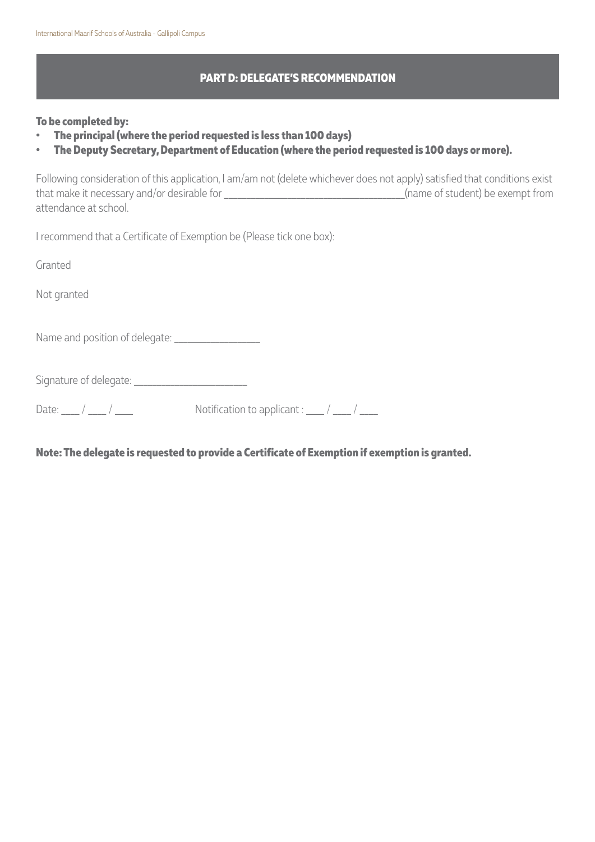## **PART D: DELEGATE'S RECOMMENDATION**

## **To be completed by:**

- **• The principal (where the period requested is less than 100 days)**
- **• The Deputy Secretary, Department of Education (where the period requested is 100 days or more).**

Following consideration of this application, I am/am not (delete whichever does not apply) satisfied that conditions exist that make it necessary and/or desirable for \_\_\_\_\_\_\_\_\_\_\_\_\_\_\_\_\_\_\_\_\_\_\_\_\_\_\_\_\_\_\_\_\_\_\_\_\_\_\_\_(name of student) be exempt from attendance at school.

I recommend that a Certificate of Exemption be (Please tick one box):

Granted

Not granted

Name and position of delegate: \_\_\_\_\_\_\_\_\_\_\_\_\_\_\_\_\_\_\_

Signature of delegate: \_\_\_\_\_\_\_\_\_\_\_\_\_\_\_\_\_\_\_\_\_\_\_\_\_

Date:  $\frac{1}{2}$  /  $\frac{1}{2}$  /  $\frac{1}{2}$  Notification to applicant :  $\frac{1}{2}$  /  $\frac{1}{2}$ 

**Note: The delegate is requested to provide a Certificate of Exemption if exemption is granted.**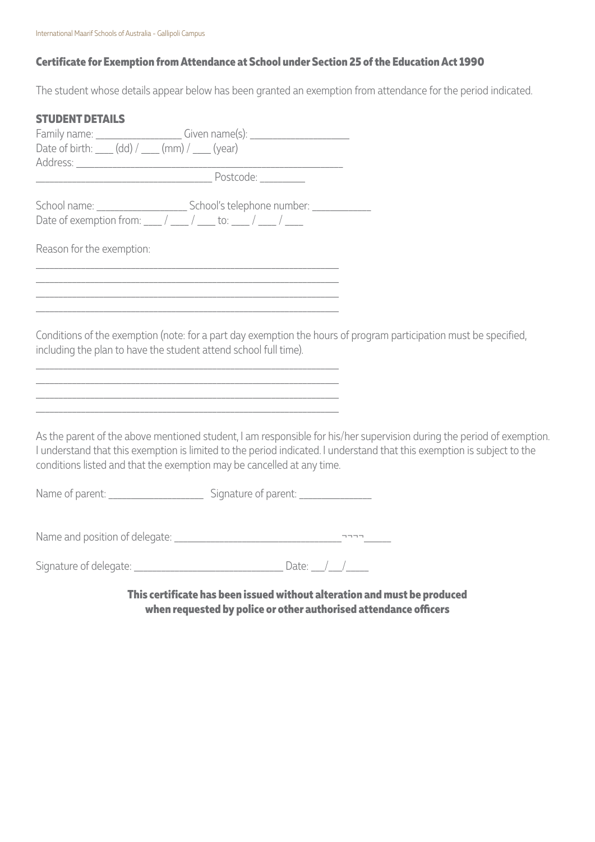## **Certificate for Exemption from Attendance at School under Section 25 of the Education Act 1990**

The student whose details appear below has been granted an exemption from attendance for the period indicated.

| <b>STUDENT DETAILS</b>                                                                                                                                                                                                        |                                                                                                                                                                                                                                                   |
|-------------------------------------------------------------------------------------------------------------------------------------------------------------------------------------------------------------------------------|---------------------------------------------------------------------------------------------------------------------------------------------------------------------------------------------------------------------------------------------------|
| Family name: _________________________Given name(s): ___________________________<br>Date of birth: ____ (dd) / ____ (mm) / ____ (year)                                                                                        |                                                                                                                                                                                                                                                   |
|                                                                                                                                                                                                                               |                                                                                                                                                                                                                                                   |
| Date of exemption from: $\frac{1}{2}$ / $\frac{1}{2}$ to: $\frac{1}{2}$ / $\frac{1}{2}$                                                                                                                                       |                                                                                                                                                                                                                                                   |
| Reason for the exemption:                                                                                                                                                                                                     |                                                                                                                                                                                                                                                   |
| <u> 1989 - Johann Harry Harry Harry Harry Harry Harry Harry Harry Harry Harry Harry Harry Harry Harry Harry Harry</u>                                                                                                         |                                                                                                                                                                                                                                                   |
| the control of the control of the control of the control of the control of the control of the control of the control of the control of the control of the control of the control of the control of the control of the control |                                                                                                                                                                                                                                                   |
| including the plan to have the student attend school full time).<br><u> 1989 - Johann Harry Harry Harry Harry Harry Harry Harry Harry Harry Harry Harry Harry Harry Harry Harry Harry</u>                                     | Conditions of the exemption (note: for a part day exemption the hours of program participation must be specified,                                                                                                                                 |
| <u> 1980 - Johann Barn, mars an t-Amerikaansk politiker (* 1908)</u>                                                                                                                                                          |                                                                                                                                                                                                                                                   |
| conditions listed and that the exemption may be cancelled at any time.                                                                                                                                                        | As the parent of the above mentioned student, I am responsible for his/her supervision during the period of exemption.<br>I understand that this exemption is limited to the period indicated. I understand that this exemption is subject to the |
|                                                                                                                                                                                                                               |                                                                                                                                                                                                                                                   |
|                                                                                                                                                                                                                               |                                                                                                                                                                                                                                                   |
|                                                                                                                                                                                                                               |                                                                                                                                                                                                                                                   |

**This certificate has been issued without alteration and must be produced when requested by police or other authorised attendance officers**